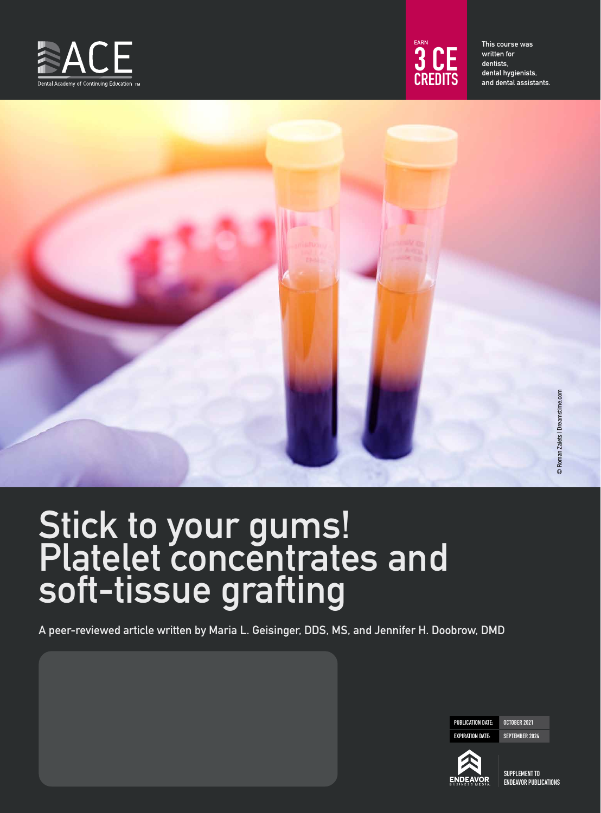



This course was written for dentists, dental hygienists, and dental assistants.

# Stick to your gums! Platelet concentrates and soft-tissue grafting

A peer-reviewed article written by Maria L. Geisinger, DDS, MS, and Jennifer H. Doobrow, DMD

PUBLICATION DATE: OCTOBER 2021 EXPIRATION DATE: SEPTEMBER 2024



SUPPLEMENT TO ENDEAVOR PUBLICATIONS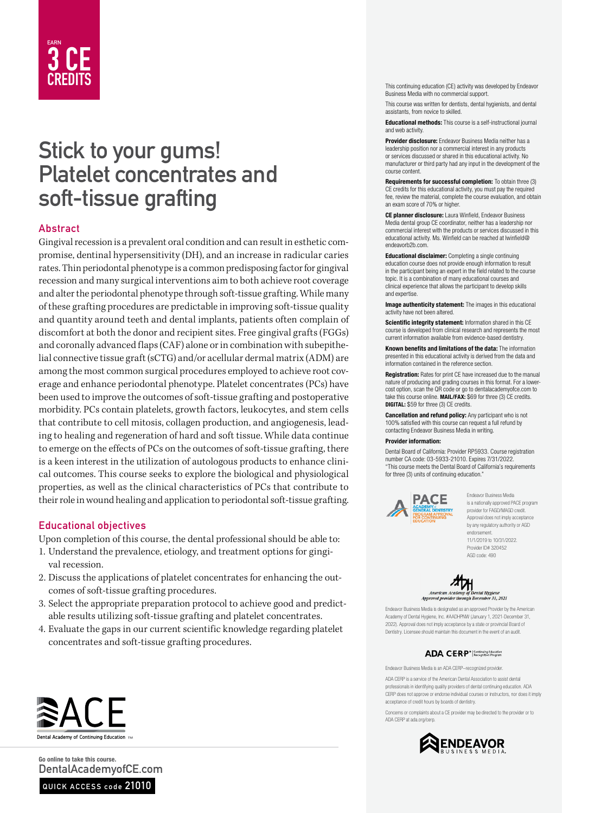# EARN 3 CE

# Stick to your gums! Platelet concentrates and soft-tissue grafting

#### Abstract

Gingival recession is a prevalent oral condition and can result in esthetic compromise, dentinal hypersensitivity (DH), and an increase in radicular caries rates. Thin periodontal phenotype is a common predisposing factor for gingival recession and many surgical interventions aim to both achieve root coverage and alter the periodontal phenotype through soft-tissue grafting. While many of these grafting procedures are predictable in improving soft-tissue quality and quantity around teeth and dental implants, patients often complain of discomfort at both the donor and recipient sites. Free gingival grafts (FGGs) and coronally advanced flaps (CAF) alone or in combination with subepithelial connective tissue graft (sCTG) and/or acellular dermal matrix (ADM) are among the most common surgical procedures employed to achieve root coverage and enhance periodontal phenotype. Platelet concentrates (PCs) have been used to improve the outcomes of soft-tissue grafting and postoperative morbidity. PCs contain platelets, growth factors, leukocytes, and stem cells that contribute to cell mitosis, collagen production, and angiogenesis, leading to healing and regeneration of hard and soft tissue. While data continue to emerge on the effects of PCs on the outcomes of soft-tissue grafting, there is a keen interest in the utilization of autologous products to enhance clinical outcomes. This course seeks to explore the biological and physiological properties, as well as the clinical characteristics of PCs that contribute to their role in wound healing and application to periodontal soft-tissue grafting.

#### Educational objectives

Upon completion of this course, the dental professional should be able to:

- 1. Understand the prevalence, etiology, and treatment options for gingival recession.
- 2. Discuss the applications of platelet concentrates for enhancing the outcomes of soft-tissue grafting procedures.
- 3. Select the appropriate preparation protocol to achieve good and predictable results utilizing soft-tissue grafting and platelet concentrates.
- 4. Evaluate the gaps in our current scientific knowledge regarding platelet concentrates and soft-tissue grafting procedures.

This continuing education (CE) activity was developed by Endeavor Business Media with no commercial support.

This course was written for dentists, dental hygienists, and dental assistants, from novice to skilled.

Educational methods: This course is a self-instructional journal and web activity.

Provider disclosure: Endeavor Business Media neither has a leadership position nor a commercial interest in any products or services discussed or shared in this educational activity. No manufacturer or third party had any input in the development of the course content.

Requirements for successful completion: To obtain three (3) CE credits for this educational activity, you must pay the required fee, review the material, complete the course evaluation, and obtain an exam score of 70% or higher.

CE planner disclosure: Laura Winfield, Endeavor Business Media dental group CE coordinator, neither has a leadership nor commercial interest with the products or services discussed in this educational activity. Ms. Winfield can be reached at lwinfield@ endeavorb2b.com.

Educational disclaimer: Completing a single continuing education course does not provide enough information to result in the participant being an expert in the field related to the course topic. It is a combination of many educational courses and clinical experience that allows the participant to develop skills and expertise.

Image authenticity statement: The images in this educational activity have not been altered.

Scientific integrity statement: Information shared in this CE course is developed from clinical research and represents the most current information available from evidence-based dentistry.

Known benefits and limitations of the data: The information presented in this educational activity is derived from the data and information contained in the reference section.

Registration: Rates for print CE have increased due to the manual nature of producing and grading courses in this format. For a lowercost option, scan the QR code or go to dentalacademyofce.com to take this course online. MAIL/FAX: \$69 for three (3) CE credits. DIGITAL: \$59 for three (3) CE credits.

Cancellation and refund policy: Any participant who is not 100% satisfied with this course can request a full refund by contacting Endeavor Business Media in writing.

#### Provider information:

Dental Board of California: Provider RP5933. Course registration number CA code: 03-5933-21010. Expires 7/31/2022. "This course meets the Dental Board of California's requirements for three (3) units of continuing education."



Endeavor Business Media is a nationally approved PACE program provider for FAGD/MAGD credit. .<br>Approval does not imply acceptance by any regulatory authority or AGD endorsement. 11/1/2019 to 10/31/2022. Provider ID# 320452 AGD code: 490



Endeavor Business Media is designated as an approved Provider by the American Academy of Dental Hygiene, Inc. #AADHPNW (January 1, 2021-December 31, 2022). Approval does not imply acceptance by a state or provincial Board of Dentistry. Licensee should maintain this document in the event of an audit.

#### ADA CERP<sup>®</sup> Recognition Program

Endeavor Business Media is an ADA CERP–recognized provider.

ADA CERP is a service of the American Dental Association to assist dental professionals in identifying quality providers of dental continuing education. ADA CERP does not approve or endorse individual courses or instructors, nor does it imply acceptance of credit hours by boards of dentistry.

Concerns or complaints about a CE provider may be directed to the provider or to ADA CERP at ada.org/cerp.





Go online to take this course. DentalAcademyofCE.com

QUICK ACCESS code 21010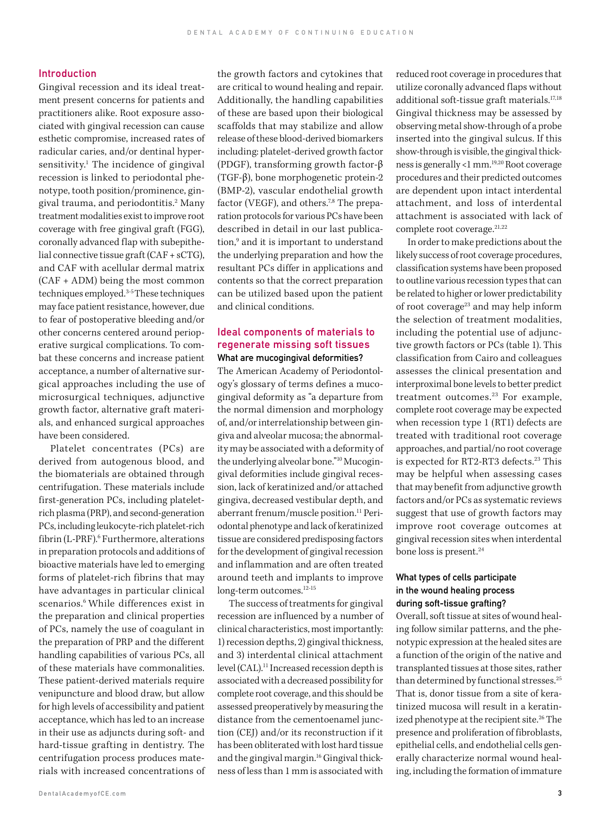#### Introduction

Gingival recession and its ideal treatment present concerns for patients and practitioners alike. Root exposure associated with gingival recession can cause esthetic compromise, increased rates of radicular caries, and/or dentinal hypersensitivity.<sup>1</sup> The incidence of gingival recession is linked to periodontal phenotype, tooth position/prominence, gingival trauma, and periodontitis.<sup>2</sup> Many treatment modalities exist to improve root coverage with free gingival graft (FGG), coronally advanced flap with subepithelial connective tissue graft (CAF + sCTG), and CAF with acellular dermal matrix (CAF + ADM) being the most common techniques employed.3-5 These techniques may face patient resistance, however, due to fear of postoperative bleeding and/or other concerns centered around perioperative surgical complications. To combat these concerns and increase patient acceptance, a number of alternative surgical approaches including the use of microsurgical techniques, adjunctive growth factor, alternative graft materials, and enhanced surgical approaches have been considered.

Platelet concentrates (PCs) are derived from autogenous blood, and the biomaterials are obtained through centrifugation. These materials include first-generation PCs, including plateletrich plasma (PRP), and second-generation PCs, including leukocyte-rich platelet-rich fibrin (L-PRF).6 Furthermore, alterations in preparation protocols and additions of bioactive materials have led to emerging forms of platelet-rich fibrins that may have advantages in particular clinical scenarios.<sup>6</sup> While differences exist in the preparation and clinical properties of PCs, namely the use of coagulant in the preparation of PRP and the different handling capabilities of various PCs, all of these materials have commonalities. These patient-derived materials require venipuncture and blood draw, but allow for high levels of accessibility and patient acceptance, which has led to an increase in their use as adjuncts during soft- and hard-tissue grafting in dentistry. The centrifugation process produces materials with increased concentrations of the growth factors and cytokines that are critical to wound healing and repair. Additionally, the handling capabilities of these are based upon their biological scaffolds that may stabilize and allow release of these blood-derived biomarkers including: platelet-derived growth factor (PDGF), transforming growth factor-β (TGF-β), bone morphogenetic protein-2 (BMP-2), vascular endothelial growth factor (VEGF), and others.<sup>7,8</sup> The preparation protocols for various PCs have been described in detail in our last publication,<sup>9</sup> and it is important to understand the underlying preparation and how the resultant PCs differ in applications and contents so that the correct preparation can be utilized based upon the patient and clinical conditions.

#### Ideal components of materials to regenerate missing soft tissues What are mucogingival deformities?

The American Academy of Periodontology's glossary of terms defines a mucogingival deformity as "a departure from the normal dimension and morphology of, and/or interrelationship between gingiva and alveolar mucosa; the abnormality may be associated with a deformity of the underlying alveolar bone."10 Mucogingival deformities include gingival recession, lack of keratinized and/or attached gingiva, decreased vestibular depth, and aberrant frenum/muscle position.11 Periodontal phenotype and lack of keratinized tissue are considered predisposing factors for the development of gingival recession and inflammation and are often treated around teeth and implants to improve long-term outcomes.<sup>12-15</sup>

The success of treatments for gingival recession are influenced by a number of clinical characteristics, most importantly: 1) recession depths, 2) gingival thickness, and 3) interdental clinical attachment level (CAL).<sup>11</sup> Increased recession depth is associated with a decreased possibility for complete root coverage, and this should be assessed preoperatively by measuring the distance from the cementoenamel junction (CEJ) and/or its reconstruction if it has been obliterated with lost hard tissue and the gingival margin.16 Gingival thickness of less than 1 mm is associated with reduced root coverage in procedures that utilize coronally advanced flaps without additional soft-tissue graft materials.<sup>17,18</sup> Gingival thickness may be assessed by observing metal show-through of a probe inserted into the gingival sulcus. If this show-through is visible, the gingival thickness is generally <1 mm.19,20 Root coverage procedures and their predicted outcomes are dependent upon intact interdental attachment, and loss of interdental attachment is associated with lack of complete root coverage.<sup>21,22</sup>

In order to make predictions about the likely success of root coverage procedures, classification systems have been proposed to outline various recession types that can be related to higher or lower predictability of root coverage<sup>23</sup> and may help inform the selection of treatment modalities, including the potential use of adjunctive growth factors or PCs (table 1). This classification from Cairo and colleagues assesses the clinical presentation and interproximal bone levels to better predict treatment outcomes.<sup>23</sup> For example, complete root coverage may be expected when recession type 1 (RT1) defects are treated with traditional root coverage approaches, and partial/no root coverage is expected for RT2-RT3 defects.<sup>23</sup> This may be helpful when assessing cases that may benefit from adjunctive growth factors and/or PCs as systematic reviews suggest that use of growth factors may improve root coverage outcomes at gingival recession sites when interdental bone loss is present.<sup>24</sup>

#### What types of cells participate in the wound healing process during soft-tissue grafting?

Overall, soft tissue at sites of wound healing follow similar patterns, and the phenotypic expression at the healed sites are a function of the origin of the native and transplanted tissues at those sites, rather than determined by functional stresses.<sup>25</sup> That is, donor tissue from a site of keratinized mucosa will result in a keratinized phenotype at the recipient site.<sup>26</sup> The presence and proliferation of fibroblasts, epithelial cells, and endothelial cells generally characterize normal wound healing, including the formation of immature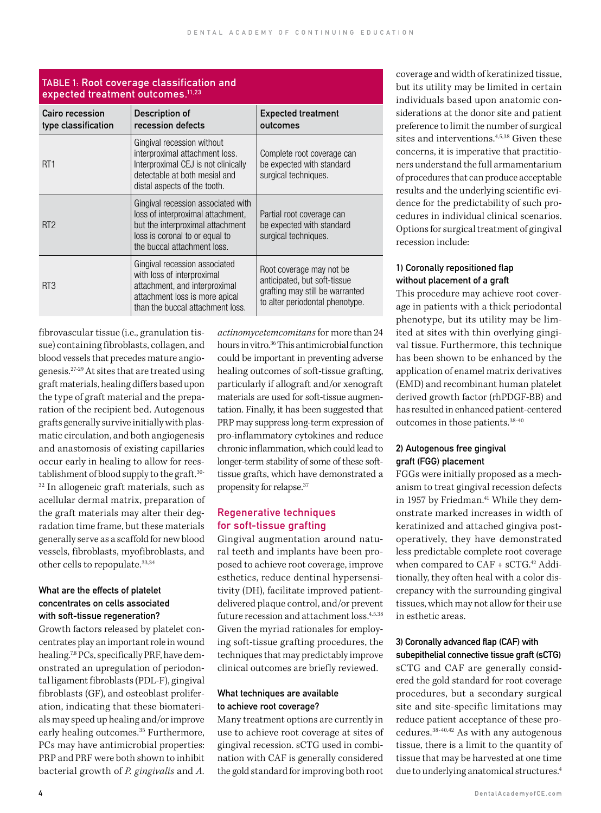| Cairo recession<br>type classification | Description of<br>recession defects                                                                                                                                          | <b>Expected treatment</b><br>outcomes                                                                                          |  |  |  |
|----------------------------------------|------------------------------------------------------------------------------------------------------------------------------------------------------------------------------|--------------------------------------------------------------------------------------------------------------------------------|--|--|--|
| RT <sub>1</sub>                        | Gingival recession without<br>interproximal attachment loss.<br>Interproximal CEJ is not clinically<br>detectable at both mesial and<br>distal aspects of the tooth.         | Complete root coverage can<br>be expected with standard<br>surgical techniques.                                                |  |  |  |
| RT <sub>2</sub>                        | Gingival recession associated with<br>loss of interproximal attachment,<br>but the interproximal attachment<br>loss is coronal to or equal to<br>the buccal attachment loss. | Partial root coverage can<br>be expected with standard<br>surgical techniques.                                                 |  |  |  |
| RT3                                    | Gingival recession associated<br>with loss of interproximal<br>attachment, and interproximal<br>attachment loss is more apical<br>than the buccal attachment loss.           | Root coverage may not be<br>anticipated, but soft-tissue<br>grafting may still be warranted<br>to alter periodontal phenotype. |  |  |  |

#### TABLE 1: Root coverage classification and expected treatment outcomes.11,23

fibrovascular tissue (i.e., granulation tissue) containing fibroblasts, collagen, and blood vessels that precedes mature angiogenesis.27-29 At sites that are treated using graft materials, healing differs based upon the type of graft material and the preparation of the recipient bed. Autogenous grafts generally survive initially with plasmatic circulation, and both angiogenesis and anastomosis of existing capillaries occur early in healing to allow for reestablishment of blood supply to the graft.30- 32 In allogeneic graft materials, such as acellular dermal matrix, preparation of the graft materials may alter their degradation time frame, but these materials generally serve as a scaffold for new blood vessels, fibroblasts, myofibroblasts, and other cells to repopulate.33,34

#### What are the effects of platelet concentrates on cells associated with soft-tissue regeneration?

Growth factors released by platelet concentrates play an important role in wound healing.<sup>7,8</sup> PCs, specifically PRF, have demonstrated an upregulation of periodontal ligament fibroblasts (PDL-F), gingival fibroblasts (GF), and osteoblast proliferation, indicating that these biomaterials may speed up healing and/or improve early healing outcomes.<sup>35</sup> Furthermore, PCs may have antimicrobial properties: PRP and PRF were both shown to inhibit bacterial growth of *P. gingivalis* and *A.* 

*actinomycetemcomitans* for more than 24 hours in vitro.36 This antimicrobial function could be important in preventing adverse healing outcomes of soft-tissue grafting, particularly if allograft and/or xenograft materials are used for soft-tissue augmentation. Finally, it has been suggested that PRP may suppress long-term expression of pro-inflammatory cytokines and reduce chronic inflammation, which could lead to longer-term stability of some of these softtissue grafts, which have demonstrated a propensity for relapse.37

## Regenerative techniques for soft-tissue grafting

Gingival augmentation around natural teeth and implants have been proposed to achieve root coverage, improve esthetics, reduce dentinal hypersensitivity (DH), facilitate improved patientdelivered plaque control, and/or prevent future recession and attachment loss.<sup>4,5,38</sup> Given the myriad rationales for employing soft-tissue grafting procedures, the techniques that may predictably improve clinical outcomes are briefly reviewed.

#### What techniques are available to achieve root coverage?

Many treatment options are currently in use to achieve root coverage at sites of gingival recession. sCTG used in combination with CAF is generally considered the gold standard for improving both root

coverage and width of keratinized tissue, but its utility may be limited in certain individuals based upon anatomic considerations at the donor site and patient preference to limit the number of surgical sites and interventions.4,5,38 Given these concerns, it is imperative that practitioners understand the full armamentarium of procedures that can produce acceptable results and the underlying scientific evidence for the predictability of such procedures in individual clinical scenarios. Options for surgical treatment of gingival recession include:

#### 1) Coronally repositioned flap without placement of a graft

This procedure may achieve root coverage in patients with a thick periodontal phenotype, but its utility may be limited at sites with thin overlying gingival tissue. Furthermore, this technique has been shown to be enhanced by the application of enamel matrix derivatives (EMD) and recombinant human platelet derived growth factor (rhPDGF-BB) and has resulted in enhanced patient-centered outcomes in those patients.38-40

#### 2) Autogenous free gingival graft (FGG) placement

FGGs were initially proposed as a mechanism to treat gingival recession defects in 1957 by Friedman.<sup>41</sup> While they demonstrate marked increases in width of keratinized and attached gingiva postoperatively, they have demonstrated less predictable complete root coverage when compared to CAF + sCTG.<sup>42</sup> Additionally, they often heal with a color discrepancy with the surrounding gingival tissues, which may not allow for their use in esthetic areas.

#### 3) Coronally advanced flap (CAF) with subepithelial connective tissue graft (sCTG)

sCTG and CAF are generally considered the gold standard for root coverage procedures, but a secondary surgical site and site-specific limitations may reduce patient acceptance of these procedures.38-40,42 As with any autogenous tissue, there is a limit to the quantity of tissue that may be harvested at one time due to underlying anatomical structures.<sup>4</sup>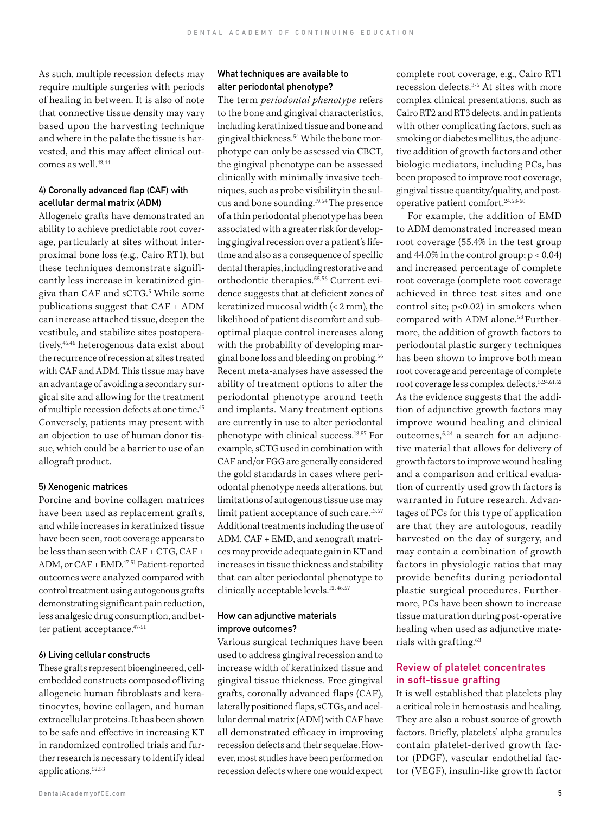As such, multiple recession defects may require multiple surgeries with periods of healing in between. It is also of note that connective tissue density may vary based upon the harvesting technique and where in the palate the tissue is harvested, and this may affect clinical outcomes as well.<sup>43,44</sup>

#### 4) Coronally advanced flap (CAF) with acellular dermal matrix (ADM)

Allogeneic grafts have demonstrated an ability to achieve predictable root coverage, particularly at sites without interproximal bone loss (e.g., Cairo RT1), but these techniques demonstrate significantly less increase in keratinized gingiva than CAF and sCTG.5 While some publications suggest that CAF + ADM can increase attached tissue, deepen the vestibule, and stabilize sites postoperatively,45,46 heterogenous data exist about the recurrence of recession at sites treated with CAF and ADM. This tissue may have an advantage of avoiding a secondary surgical site and allowing for the treatment of multiple recession defects at one time.45 Conversely, patients may present with an objection to use of human donor tissue, which could be a barrier to use of an allograft product.

#### 5) Xenogenic matrices

Porcine and bovine collagen matrices have been used as replacement grafts, and while increases in keratinized tissue have been seen, root coverage appears to be less than seen with CAF + CTG, CAF + ADM, or CAF + EMD.47-51 Patient‐reported outcomes were analyzed compared with control treatment using autogenous grafts demonstrating significant pain reduction, less analgesic drug consumption, and better patient acceptance.47-51

#### 6) Living cellular constructs

These grafts represent bioengineered, cellembedded constructs composed of living allogeneic human fibroblasts and keratinocytes, bovine collagen, and human extracellular proteins. It has been shown to be safe and effective in increasing KT in randomized controlled trials and further research is necessary to identify ideal applications.52,53

#### What techniques are available to alter periodontal phenotype?

The term *periodontal phenotype* refers to the bone and gingival characteristics, including keratinized tissue and bone and gingival thickness.54 While the bone morphotype can only be assessed via CBCT, the gingival phenotype can be assessed clinically with minimally invasive techniques, such as probe visibility in the sulcus and bone sounding.19,54 The presence of a thin periodontal phenotype has been associated with agreater risk for developing gingival recession over a patient's lifetime and also as a consequence of specific dental therapies, including restorative and orthodontic therapies.55,56 Current evidence suggests that at deficient zones of keratinized mucosal width (< 2 mm), the likelihood of patient discomfort and suboptimal plaque control increases along with the probability of developing marginal bone loss and bleeding on probing.56 Recent meta-analyses have assessed the ability of treatment options to alter the periodontal phenotype around teeth and implants. Many treatment options are currently in use to alter periodontal phenotype with clinical success.13,57 For example, sCTG used in combination with CAF and/or FGG are generally considered the gold standards in cases where periodontal phenotype needs alterations, but limitations of autogenous tissue use may limit patient acceptance of such care.<sup>13,57</sup> Additional treatments including the use of ADM, CAF + EMD, and xenograft matrices may provide adequate gain in KT and increases in tissue thickness and stability that can alter periodontal phenotype to clinically acceptable levels.12, 46,57

#### How can adjunctive materials improve outcomes?

Various surgical techniques have been used to address gingival recession and to increase width of keratinized tissue and gingival tissue thickness. Free gingival grafts, coronally advanced flaps (CAF), laterally positioned flaps, sCTGs, and acellular dermal matrix (ADM) with CAF have all demonstrated efficacy in improving recession defects and their sequelae. However, most studies have been performed on recession defects where one would expect

complete root coverage, e.g., Cairo RT1 recession defects.<sup>3-5</sup> At sites with more complex clinical presentations, such as Cairo RT2 and RT3 defects, and in patients with other complicating factors, such as smoking or diabetes mellitus, the adjunctive addition of growth factors and other biologic mediators, including PCs, has been proposed to improve root coverage, gingival tissue quantity/quality, and postoperative patient comfort.24,58-60

For example, the addition of EMD to ADM demonstrated increased mean root coverage (55.4% in the test group and  $44.0\%$  in the control group;  $p < 0.04$ ) and increased percentage of complete root coverage (complete root coverage achieved in three test sites and one control site; p<0.02) in smokers when compared with ADM alone.<sup>58</sup> Furthermore, the addition of growth factors to periodontal plastic surgery techniques has been shown to improve both mean root coverage and percentage of complete root coverage less complex defects.5,24,61,62 As the evidence suggests that the addition of adjunctive growth factors may improve wound healing and clinical outcomes,5,24 a search for an adjunctive material that allows for delivery of growth factors to improve wound healing and a comparison and critical evaluation of currently used growth factors is warranted in future research. Advantages of PCs for this type of application are that they are autologous, readily harvested on the day of surgery, and may contain a combination of growth factors in physiologic ratios that may provide benefits during periodontal plastic surgical procedures. Furthermore, PCs have been shown to increase tissue maturation during post-operative healing when used as adjunctive materials with grafting.63

#### Review of platelet concentrates in soft-tissue grafting

It is well established that platelets play a critical role in hemostasis and healing. They are also a robust source of growth factors. Briefly, platelets' alpha granules contain platelet-derived growth factor (PDGF), vascular endothelial factor (VEGF), insulin-like growth factor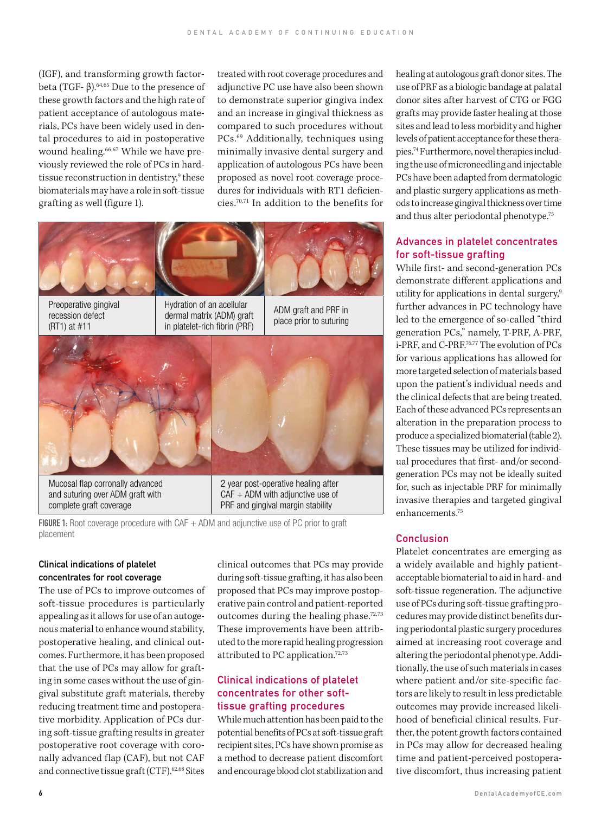(IGF), and transforming growth factorbeta (TGF- $β$ ).<sup>64,65</sup> Due to the presence of these growth factors and the high rate of patient acceptance of autologous materials, PCs have been widely used in dental procedures to aid in postoperative wound healing.<sup>66,67</sup> While we have previously reviewed the role of PCs in hardtissue reconstruction in dentistry,<sup>9</sup> these biomaterials may have a role in soft-tissue grafting as well (figure 1).

treated with root coverage procedures and adjunctive PC use have also been shown to demonstrate superior gingiva index and an increase in gingival thickness as compared to such procedures without PCs.<sup>69</sup> Additionally, techniques using minimally invasive dental surgery and application of autologous PCs have been proposed as novel root coverage procedures for individuals with RT1 deficiencies.70,71 In addition to the benefits for



FIGURE 1: Root coverage procedure with CAF  $+$  ADM and adjunctive use of PC prior to graft placement

#### Clinical indications of platelet concentrates for root coverage

The use of PCs to improve outcomes of soft-tissue procedures is particularly appealing as it allows for use of an autogenous material to enhance wound stability, postoperative healing, and clinical outcomes. Furthermore, it has been proposed that the use of PCs may allow for grafting in some cases without the use of gingival substitute graft materials, thereby reducing treatment time and postoperative morbidity. Application of PCs during soft-tissue grafting results in greater postoperative root coverage with coronally advanced flap (CAF), but not CAF and connective tissue graft (CTF).62,68 Sites

clinical outcomes that PCs may provide during soft-tissue grafting, it has also been proposed that PCs may improve postoperative pain control and patient-reported outcomes during the healing phase.<sup>72,73</sup> These improvements have been attributed to the more rapid healing progression attributed to PC application.72,73

#### Clinical indications of platelet concentrates for other softtissue grafting procedures

While much attention has been paid to the potential benefits of PCs at soft-tissue graft recipient sites, PCs have shown promise as a method to decrease patient discomfort and encourage blood clot stabilization and healing at autologous graft donor sites. The use of PRF as a biologic bandage at palatal donor sites after harvest of CTG or FGG grafts may provide faster healing at those sites and lead to less morbidity and higher levels of patient acceptance for these therapies.74 Furthermore, novel therapies including the use of microneedling and injectable PCs have been adapted from dermatologic and plastic surgery applications as methods to increase gingival thickness over time and thus alter periodontal phenotype.75

#### Advances in platelet concentrates for soft-tissue grafting

While first- and second-generation PCs demonstrate different applications and utility for applications in dental surgery,<sup>9</sup> further advances in PC technology have led to the emergence of so-called "third generation PCs," namely, T-PRF, A-PRF, i-PRF, and C-PRF.76,77 The evolution of PCs for various applications has allowed for more targeted selection of materials based upon the patient's individual needs and the clinical defects that are being treated. Each of these advanced PCs represents an alteration in the preparation process to produce a specialized biomaterial (table 2). These tissues may be utilized for individual procedures that first- and/or secondgeneration PCs may not be ideally suited for, such as injectable PRF for minimally invasive therapies and targeted gingival enhancements.75

#### **Conclusion**

Platelet concentrates are emerging as a widely available and highly patientacceptable biomaterial to aid in hard- and soft-tissue regeneration. The adjunctive use of PCs during soft-tissue grafting procedures may provide distinct benefits during periodontal plastic surgery procedures aimed at increasing root coverage and altering the periodontal phenotype. Additionally, the use of such materials in cases where patient and/or site-specific factors are likely to result in less predictable outcomes may provide increased likelihood of beneficial clinical results. Further, the potent growth factors contained in PCs may allow for decreased healing time and patient-perceived postoperative discomfort, thus increasing patient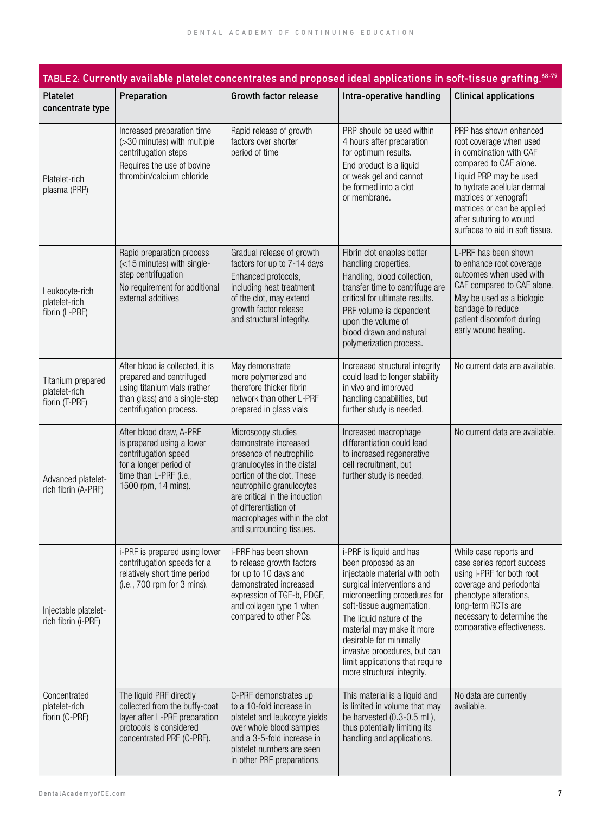| TABLE 2: Currently available platelet concentrates and proposed ideal applications in soft-tissue grafting. <sup>68-79</sup> |                                                                                                                                                         |                                                                                                                                                                                                                                                                                       |                                                                                                                                                                                                                                                                                                                                                                 |                                                                                                                                                                                                                                                                                      |  |  |  |  |
|------------------------------------------------------------------------------------------------------------------------------|---------------------------------------------------------------------------------------------------------------------------------------------------------|---------------------------------------------------------------------------------------------------------------------------------------------------------------------------------------------------------------------------------------------------------------------------------------|-----------------------------------------------------------------------------------------------------------------------------------------------------------------------------------------------------------------------------------------------------------------------------------------------------------------------------------------------------------------|--------------------------------------------------------------------------------------------------------------------------------------------------------------------------------------------------------------------------------------------------------------------------------------|--|--|--|--|
| <b>Platelet</b><br>concentrate type                                                                                          | Preparation                                                                                                                                             | Growth factor release                                                                                                                                                                                                                                                                 | Intra-operative handling                                                                                                                                                                                                                                                                                                                                        | <b>Clinical applications</b>                                                                                                                                                                                                                                                         |  |  |  |  |
| Platelet-rich<br>plasma (PRP)                                                                                                | Increased preparation time<br>(>30 minutes) with multiple<br>centrifugation steps<br>Requires the use of bovine<br>thrombin/calcium chloride            | Rapid release of growth<br>factors over shorter<br>period of time                                                                                                                                                                                                                     | PRP should be used within<br>4 hours after preparation<br>for optimum results.<br>End product is a liquid<br>or weak gel and cannot<br>be formed into a clot<br>or membrane.                                                                                                                                                                                    | PRP has shown enhanced<br>root coverage when used<br>in combination with CAF<br>compared to CAF alone.<br>Liquid PRP may be used<br>to hydrate acellular dermal<br>matrices or xenograft<br>matrices or can be applied<br>after suturing to wound<br>surfaces to aid in soft tissue. |  |  |  |  |
| Leukocyte-rich<br>platelet-rich<br>fibrin (L-PRF)                                                                            | Rapid preparation process<br>(<15 minutes) with single-<br>step centrifugation<br>No requirement for additional<br>external additives                   | Gradual release of growth<br>factors for up to 7-14 days<br>Enhanced protocols,<br>including heat treatment<br>of the clot, may extend<br>growth factor release<br>and structural integrity.                                                                                          | Fibrin clot enables better<br>handling properties.<br>Handling, blood collection,<br>transfer time to centrifuge are<br>critical for ultimate results.<br>PRF volume is dependent<br>upon the volume of<br>blood drawn and natural<br>polymerization process.                                                                                                   | L-PRF has been shown<br>to enhance root coverage<br>outcomes when used with<br>CAF compared to CAF alone.<br>May be used as a biologic<br>bandage to reduce<br>patient discomfort during<br>early wound healing.                                                                     |  |  |  |  |
| Titanium prepared<br>platelet-rich<br>fibrin (T-PRF)                                                                         | After blood is collected, it is<br>prepared and centrifuged<br>using titanium vials (rather<br>than glass) and a single-step<br>centrifugation process. | May demonstrate<br>more polymerized and<br>therefore thicker fibrin<br>network than other L-PRF<br>prepared in glass vials                                                                                                                                                            | Increased structural integrity<br>could lead to longer stability<br>in vivo and improved<br>handling capabilities, but<br>further study is needed.                                                                                                                                                                                                              | No current data are available.                                                                                                                                                                                                                                                       |  |  |  |  |
| Advanced platelet-<br>rich fibrin (A-PRF)                                                                                    | After blood draw, A-PRF<br>is prepared using a lower<br>centrifugation speed<br>for a longer period of<br>time than L-PRF (i.e.,<br>1500 rpm, 14 mins). | Microscopy studies<br>demonstrate increased<br>presence of neutrophilic<br>granulocytes in the distal<br>portion of the clot. These<br>neutrophilic granulocytes<br>are critical in the induction<br>of differentiation of<br>macrophages within the clot<br>and surrounding tissues. | Increased macrophage<br>differentiation could lead<br>to increased regenerative<br>cell recruitment, but<br>further study is needed.                                                                                                                                                                                                                            | No current data are available.                                                                                                                                                                                                                                                       |  |  |  |  |
| Injectable platelet-<br>rich fibrin (i-PRF)                                                                                  | i-PRF is prepared using lower<br>centrifugation speeds for a<br>relatively short time period<br>$(i.e., 700$ rpm for 3 mins).                           | i-PRF has been shown<br>to release growth factors<br>for up to 10 days and<br>demonstrated increased<br>expression of TGF-b, PDGF,<br>and collagen type 1 when<br>compared to other PCs.                                                                                              | i-PRF is liquid and has<br>been proposed as an<br>injectable material with both<br>surgical interventions and<br>microneedling procedures for<br>soft-tissue augmentation.<br>The liquid nature of the<br>material may make it more<br>desirable for minimally<br>invasive procedures, but can<br>limit applications that require<br>more structural integrity. | While case reports and<br>case series report success<br>using i-PRF for both root<br>coverage and periodontal<br>phenotype alterations,<br>long-term RCTs are<br>necessary to determine the<br>comparative effectiveness.                                                            |  |  |  |  |
| Concentrated<br>platelet-rich<br>fibrin (C-PRF)                                                                              | The liquid PRF directly<br>collected from the buffy-coat<br>layer after L-PRF preparation<br>protocols is considered<br>concentrated PRF (C-PRF).       | C-PRF demonstrates up<br>to a 10-fold increase in<br>platelet and leukocyte yields<br>over whole blood samples<br>and a 3-5-fold increase in<br>platelet numbers are seen<br>in other PRF preparations.                                                                               | This material is a liquid and<br>is limited in volume that may<br>be harvested (0.3-0.5 mL),<br>thus potentially limiting its<br>handling and applications.                                                                                                                                                                                                     | No data are currently<br>available.                                                                                                                                                                                                                                                  |  |  |  |  |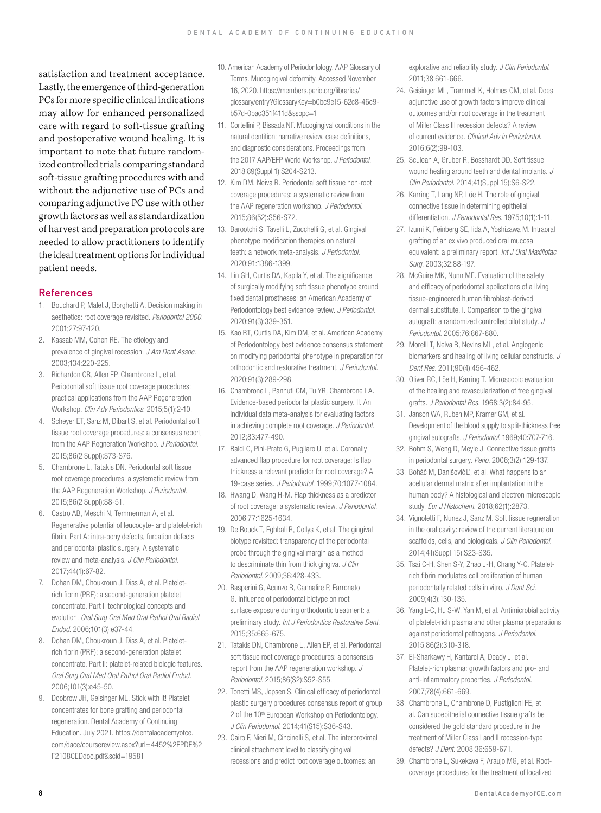satisfaction and treatment acceptance. Lastly, the emergence of third-generation PCs for more specific clinical indications may allow for enhanced personalized care with regard to soft-tissue grafting and postoperative wound healing. It is important to note that future randomized controlled trials comparing standard soft-tissue grafting procedures with and without the adjunctive use of PCs and comparing adjunctive PC use with other growth factors as well as standardization of harvest and preparation protocols are needed to allow practitioners to identify the ideal treatment options for individual patient needs.

#### References

- 1. Bouchard P, Malet J, Borghetti A. Decision making in aesthetics: root coverage revisited. *Periodontol 2000.* 2001;27:97-120.
- 2. Kassab MM, Cohen RE. The etiology and prevalence of gingival recession. *J Am Dent Assoc.* 2003;134:220-225.
- 3. Richardon CR, Allen EP, Chambrone L, et al. Periodontal soft tissue root coverage procedures: practical applications from the AAP Regeneration Workshop. *Clin Adv Periodontics.* 2015;5(1):2-10.
- 4. Scheyer ET, Sanz M, Dibart S, et al. Periodontal soft tissue root coverage procedures: a consensus report from the AAP Regneration Workshop. *J Periodontol.*  2015;86(2 Suppl):S73-S76.
- 5. Chambrone L, Tatakis DN. Periodontal soft tissue root coverage procedures: a systematic review from the AAP Regeneration Workshop. *J Periodontol.* 2015;86(2 Suppl):S8-51.
- 6. Castro AB, Meschi N, Temmerman A, et al. Regenerative potential of leucocyte- and platelet-rich fibrin. Part A: intra-bony defects, furcation defects and periodontal plastic surgery. A systematic review and meta-analysis. *J Clin Periodontol.*  2017;44(1):67-82.
- 7. Dohan DM, Choukroun J, Diss A, et al. Plateletrich fibrin (PRF): a second-generation platelet concentrate. Part I: technological concepts and evolution. *Oral Surg Oral Med Oral Pathol Oral Radiol Endod.* 2006;101(3):e37-44.
- 8. Dohan DM, Choukroun J, Diss A, et al. Plateletrich fibrin (PRF): a second-generation platelet concentrate. Part II: platelet-related biologic features. *Oral Surg Oral Med Oral Pathol Oral Radiol Endod.*  2006;101(3):e45-50.
- 9. Doobrow JH, Geisinger ML. Stick with it! Platelet concentrates for bone grafting and periodontal regeneration. Dental Academy of Continuing Education. July 2021. https://dentalacademyofce. com/dace/coursereview.aspx?url=4452%2FPDF%2 F2108CEDdoo.pdf&scid=19581
- 10. American Academy of Periodontology. AAP Glossary of Terms. Mucogingival deformity. Accessed November 16, 2020. https://members.perio.org/libraries/ glossary/entry?GlossaryKey=b0bc9e15-62c8-46c9 b57d-0bac351f411d&ssopc=1
- 11. Cortellini P, Bissada NF. Mucogingival conditions in the natural dentition: narrative review, case definitions, and diagnostic considerations. Proceedings from the 2017 AAP/EFP World Workshop. *J Periodontol.*  2018;89(Suppl 1):S204-S213.
- 12. Kim DM, Neiva R. Periodontal soft tissue non-root coverage procedures: a systematic review from the AAP regeneration workshop. *J Periodontol.*  2015;86(52):S56-S72.
- 13. Barootchi S, Tavelli L, Zucchelli G, et al. Gingival phenotype modification therapies on natural teeth: a network meta-analysis. *J Periodontol.*  2020;91:1386-1399.
- 14. Lin GH, Curtis DA, Kapila Y, et al. The significance of surgically modifying soft tissue phenotype around fixed dental prostheses: an American Academy of Periodontology best evidence review. *J Periodontol.*  2020;91(3):339-351.
- 15. Kao RT, Curtis DA, Kim DM, et al. American Academy of Periodontology best evidence consensus statement on modifying periodontal phenotype in preparation for orthodontic and restorative treatment. *J Periodontol.*  2020;91(3):289-298.
- 16. Chambrone L, Pannuti CM, Tu YR, Chambrone LA. Evidence-based periodontal plastic surgery. II. An individual data meta-analysis for evaluating factors in achieving complete root coverage. *J Periodontol.*  2012;83:477-490.
- 17. Baldi C, Pini-Prato G, Pugliaro U, et al. Coronally advanced flap procedure for root coverage: Is flap thickness a relevant predictor for root coverage? A 19-case series. *J Periodontol.* 1999;70:1077-1084.
- 18. Hwang D, Wang H-M. Flap thickness as a predictor of root coverage: a systematic review. *J Periodontol.*  2006;77:1625-1634.
- 19. De Rouck T, Eghbali R, Collys K, et al. The gingival biotype revisited: transparency of the periodontal probe through the gingival margin as a method to descriminate thin from thick gingiva. *J Clin Periodontol.* 2009;36:428-433.
- 20. Rasperini G, Acunzo R, Cannalire P, Farronato G. Influence of periodontal biotype on root surface exposure during orthodontic treatment: a preliminary study. *Int J Periodontics Restorative Dent.*  2015;35:665-675.
- 21. Tatakis DN, Chambrone L, Allen EP, et al. Periodontal soft tissue root coverage procedures: a consensus report from the AAP regeneration workshop. *J Periodontol.* 2015;86(S2):S52-S55.
- 22. Tonetti MS, Jepsen S. Clinical efficacy of periodontal plastic surgery procedures consensus report of group 2 of the 10<sup>th</sup> European Workshop on Periodontology. *J Clin Periodontol.* 2014;41(S15):S36-S43.
- 23. Cairo F, Nieri M, Cincinelli S, et al. The interproximal clinical attachment level to classify gingival recessions and predict root coverage outcomes: an

explorative and reliability study. *J Clin Periodontol.*  2011;38:661-666.

- 24. Geisinger ML, Trammell K, Holmes CM, et al. Does adjunctive use of growth factors improve clinical outcomes and/or root coverage in the treatment of Miller Class III recession defects? A review of current evidence. *Clinical Adv in Periodontol.*  2016;6(2):99-103.
- 25. Sculean A, Gruber R, Bosshardt DD. Soft tissue wound healing around teeth and dental implants. *J Clin Periodontol.* 2014;41(Suppl 15):S6-S22.
- 26. Karring T, Lang NP, Löe H. The role of gingival connective tissue in determining epithelial differentiation. *J Periodontal Res.* 1975;10(1):1-11.
- 27. Izumi K, Feinberg SE, Iida A, Yoshizawa M. Intraoral grafting of an ex vivo produced oral mucosa equivalent: a preliminary report. *Int J Oral Maxillofac Surg.* 2003;32:88-197.
- 28. McGuire MK, Nunn ME. Evaluation of the safety and efficacy of periodontal applications of a living tissue-engineered human fibroblast-derived dermal substitute. I. Comparison to the gingival autograft: a randomized controlled pilot study. *J Periodontol.* 2005;76:867-880.
- 29. Morelli T, Neiva R, Nevins ML, et al. Angiogenic biomarkers and healing of living cellular constructs. *J Dent Res.* 2011;90(4):456-462.
- 30. Oliver RC, Löe H, Karring T. Microscopic evaluation of the healing and revascularization of free gingival grafts. *J Periodontal Res.* 1968;3(2):84-95.
- 31. Janson WA, Ruben MP, Kramer GM, et al. Development of the blood supply to split-thickness free gingival autografts. *J Periodontol.* 1969;40:707-716.
- 32. Bohm S, Weng D, Meyle J. Connective tissue grafts in periodontal surgery. *Perio.* 2006;3(2):129-137.
- 33. Boháč M, Danišovič L', et al. What happens to an acellular dermal matrix after implantation in the human body? A histological and electron microscopic study. *Eur J Histochem*. 2018;62(1):2873.
- 34. Vignoletti F, Nunez J, Sanz M. Soft tissue regneration in the oral cavity: review of the current literature on scaffolds, cells, and biologicals. *J Clin Periodontol.*  2014;41(Suppl 15):S23-S35.
- 35. Tsai C-H, Shen S-Y, Zhao J-H, Chang Y-C. Plateletrich fibrin modulates cell proliferation of human periodontally related cells in vitro. *J Dent Sci.* 2009;4(3):130-135.
- 36. Yang L-C, Hu S-W, Yan M, et al. Antimicrobial activity of platelet-rich plasma and other plasma preparations against periodontal pathogens. *J Periodontol.* 2015;86(2):310-318.
- 37. El-Sharkawy H, Kantarci A, Deady J, et al. Platelet-rich plasma: growth factors and pro- and anti-inflammatory properties. *J Periodontol.* 2007;78(4):661-669.
- 38. Chambrone L, Chambrone D, Pustiglioni FE, et al. Can subepithelial connective tissue grafts be considered the gold standard procedure in the treatment of Miller Class I and II recession-type defects? *J Dent.* 2008;36:659-671.
- 39. Chambrone L, Sukekava F, Araujo MG, et al. Rootcoverage procedures for the treatment of localized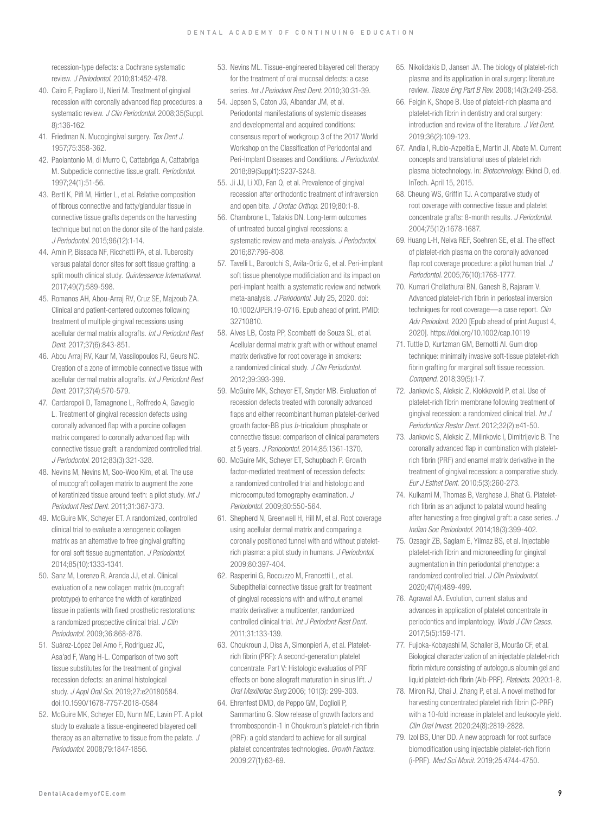recession-type defects: a Cochrane systematic review. *J Periodontol.* 2010;81:452-478.

- 40. Cairo F, Pagliaro U, Nieri M. Treatment of gingival recession with coronally advanced flap procedures: a systematic review. *J Clin Periodontol.* 2008;35(Suppl. 8):136-162.
- 41. Friedman N. Mucogingival surgery. *Tex Dent J.*  1957;75:358-362.
- 42. Paolantonio M, di Murro C, Cattabriga A, Cattabriga M. Subpedicle connective tissue graft. *Periodontol.*  1997;24(1):51-56.
- 43. Bertl K, Pifl M, Hirtler L, et al. Relative composition of fibrous connective and fatty/glandular tissue in connective tissue grafts depends on the harvesting technique but not on the donor site of the hard palate. *J Periodontol.* 2015;96(12):1-14.
- 44. Amin P, Bissada NF, Ricchetti PA, et al. Tuberosity versus palatal donor sites for soft tissue grafting: a split mouth clinical study. *Quintessence International.*  2017;49(7):589-598.
- 45. Romanos AH, Abou-Arraj RV, Cruz SE, Majzoub ZA. Clinical and patient-centered outcomes following treatment of multiple gingival recessions using acellular dermal matrix allografts. *Int J Periodont Rest Dent.* 2017;37(6):843-851.
- 46. Abou Arraj RV, Kaur M, Vassilopoulos PJ, Geurs NC. Creation of a zone of immobile connective tissue with acellular dermal matrix allografts. *Int J Periodont Rest Dent.* 2017;37(4):570-579.
- 47. Cardaropoli D, Tamagnone L, Roffredo A, Gaveglio L. Treatment of gingival recession defects using coronally advanced flap with a porcine collagen matrix compared to coronally advanced flap with connective tissue graft: a randomized controlled trial. *J Periodontol.* 2012;83(3):321-328.
- 48. Nevins M, Nevins M, Soo-Woo Kim, et al. The use of mucograft collagen matrix to augment the zone of keratinized tissue around teeth: a pilot study. *Int J Periodont Rest Dent.* 2011;31:367-373.
- 49. McGuire MK, Scheyer ET. A randomized, controlled clinical trial to evaluate a xenogeneic collagen matrix as an alternative to free gingival grafting for oral soft tissue augmentation. *J Periodontol.*  2014;85(10):1333-1341.
- 50. Sanz M, Lorenzo R, Aranda JJ, et al. Clinical evaluation of a new collagen matrix (mucograft prototype) to enhance the width of keratinized tissue in patients with fixed prosthetic restorations: a randomized prospective clinical trial. *J Clin Periodontol.* 2009;36:868-876.
- 51. Suárez-López Del Amo F, Rodriguez JC, Asa'ad F, Wang H-L. Comparison of two soft tissue substitutes for the treatment of gingival recession defects: an animal histological study. *J Appl Oral Sci.* 2019;27:e20180584. doi:10.1590/1678-7757-2018-0584
- 52. McGuire MK, Scheyer ED, Nunn ME, Lavin PT. A pilot study to evaluate a tissue-engineered bilayered cell therapy as an alternative to tissue from the palate. *J Periodontol.* 2008;79:1847-1856.
- 53. Nevins ML. Tissue-engineered bilayered cell therapy for the treatment of oral mucosal defects: a case series. *Int J Periodont Rest Dent.* 2010;30:31-39.
- 54. Jepsen S, Caton JG, Albandar JM, et al. Periodontal manifestations of systemic diseases and developmental and acquired conditions: consensus report of workgroup 3 of the 2017 World Workshop on the Classification of Periodontal and Peri-Implant Diseases and Conditions. *J Periodontol.*  2018;89(Suppl1):S237-S248.
- 55. Ji JJ, Li XD, Fan Q, et al. Prevalence of gingival recession after orthodontic treatment of infraversion and open bite. *J Orofac Orthop.* 2019;80:1-8.
- 56. Chambrone L, Tatakis DN. Long-term outcomes of untreated buccal gingival recessions: a systematic review and meta-analysis. *J Periodontol.*  2016;87:796-808.
- 57. Tavelli L, Barootchi S, Avila-Ortiz G, et al. Peri-implant soft tissue phenotype modificiation and its impact on peri-implant health: a systematic review and network meta-analysis. *J Periodontol.* July 25, 2020. doi: 10.1002/JPER.19-0716. Epub ahead of print. PMID: 32710810.
- 58. Alves LB, Costa PP, Scombatti de Souza SL, et al. Acellular dermal matrix graft with or without enamel matrix derivative for root coverage in smokers: a randomized clinical study. *J Clin Periodontol.* 2012;39:393-399.
- 59. McGuire MK, Scheyer ET, Snyder MB. Evaluation of recession defects treated with coronally advanced flaps and either recombinant human platelet-derived growth factor-BB plus *b*-tricalcium phosphate or connective tissue: comparison of clinical parameters at 5 years. *J Periodontol.* 2014;85:1361-1370.
- 60. McGuire MK, Scheyer ET, Schupbach P. Growth factor-mediated treatment of recession defects: a randomized controlled trial and histologic and microcomputed tomography examination. *J Periodontol.* 2009;80:550-564.
- 61. Shepherd N, Greenwell H, Hill M, et al. Root coverage using acellular dermal matrix and comparing a coronally positioned tunnel with and without plateletrich plasma: a pilot study in humans. *J Periodontol.*  2009;80:397-404.
- 62. Rasperini G, Roccuzzo M, Francetti L, et al. Subepithelial connective tissue graft for treatment of gingival recessions with and without enamel matrix derivative: a multicenter, randomized controlled clinical trial. *Int J Periodont Rest Dent*. 2011;31:133-139.
- 63. Choukroun J, Diss A, Simonpieri A, et al. Plateletrich fibrin (PRF): A second-generation platelet concentrate. Part V: Histologic evaluatios of PRF effects on bone allograft maturation in sinus lift. *J Oral Maxillofac Surg* 2006; 101(3): 299-303.
- 64. Ehrenfest DMD, de Peppo GM, Doglioli P, Sammartino G. Slow release of growth factors and thrombospondin-1 in Choukroun's platelet-rich fibrin (PRF): a gold standard to achieve for all surgical platelet concentrates technologies. *Growth Factors.*  2009;27(1):63-69.
- 65. Nikolidakis D, Jansen JA. The biology of platelet-rich plasma and its application in oral surgery: literature review. *Tissue Eng Part B Rev.* 2008;14(3):249-258.
- 66. Feigin K, Shope B. Use of platelet-rich plasma and platelet-rich fibrin in dentistry and oral surgery: introduction and review of the literature. *J Vet Dent.*  2019;36(2):109-123.
- 67. Andia I, Rubio-Azpeitia E, Martin JI, Abate M. Current concepts and translational uses of platelet rich plasma biotechnology. In: *Biotechnology.* Ekinci D, ed. InTech. April 15, 2015.
- 68. Cheung WS, Griffin TJ. A comparative study of root coverage with connective tissue and platelet concentrate grafts: 8-month results. *J Periodontol.*  2004;75(12):1678-1687.
- 69. Huang L-H, Neiva REF, Soehren SE, et al. The effect of platelet-rich plasma on the coronally advanced flap root coverage procedure: a pilot human trial. *J Periodontol.* 2005;76(10):1768-1777.
- 70. Kumari Chellathurai BN, Ganesh B, Rajaram V. Advanced platelet-rich fibrin in periosteal inversion techniques for root coverage—a case report. *Clin Adv Periodont.* 2020 [Epub ahead of print August 4, 2020]. https://doi.org/10.1002/cap.10119
- 71. Tuttle D, Kurtzman GM, Bernotti Al. Gum drop technique: minimally invasive soft-tissue platelet-rich fibrin grafting for marginal soft tissue recession. *Compend.* 2018;39(5):1-7.
- 72. Jankovic S, Aleksic Z, Klokkevold P, et al. Use of platelet-rich fibrin membrane following treatment of gingival recession: a randomized clinical trial. *Int J Periodontics Restor Dent.* 2012;32(2):e41-50.
- 73. Jankovic S, Aleksic Z, Milinkovic I, Dimitrijevic B. The coronally advanced flap in combination with plateletrich fibrin (PRF) and enamel matrix derivative in the treatment of gingival recession: a comparative study. *Eur J Esthet Dent*. 2010;5(3):260-273.
- 74. Kulkarni M, Thomas B, Varghese J, Bhat G. Plateletrich fibrin as an adjunct to palatal wound healing after harvesting a free gingival graft: a case series. *J Indian Soc Periodontol*. 2014;18(3):399-402.
- 75. Ozsagir ZB, Saglam E, Yilmaz BS, et al. Injectable platelet-rich fibrin and microneedling for gingival augmentation in thin periodontal phenotype: a randomized controlled trial. *J Clin Periodontol*. 2020;47(4):489-499.
- 76. Agrawal AA. Evolution, current status and advances in application of platelet concentrate in periodontics and implantology. *World J Clin Cases*. 2017;5(5):159-171.
- 77. Fujioka-Kobayashi M, Schaller B, Mourão CF, et al. Biological characterization of an injectable platelet-rich fibrin mixture consisting of autologous albumin gel and liquid platelet-rich fibrin (Alb-PRF). *Platelets*. 2020:1-8.
- 78. Miron RJ, Chai J, Zhang P, et al. A novel method for harvesting concentrated platelet rich fibrin (C-PRF) with a 10-fold increase in platelet and leukocyte yield. *Clin Oral Invest.* 2020;24(8):2819-2828.
- 79. Izol BS, Uner DD. A new approach for root surface biomodification using injectable platelet-rich fibrin (i-PRF). *Med Sci Monit*. 2019;25:4744-4750.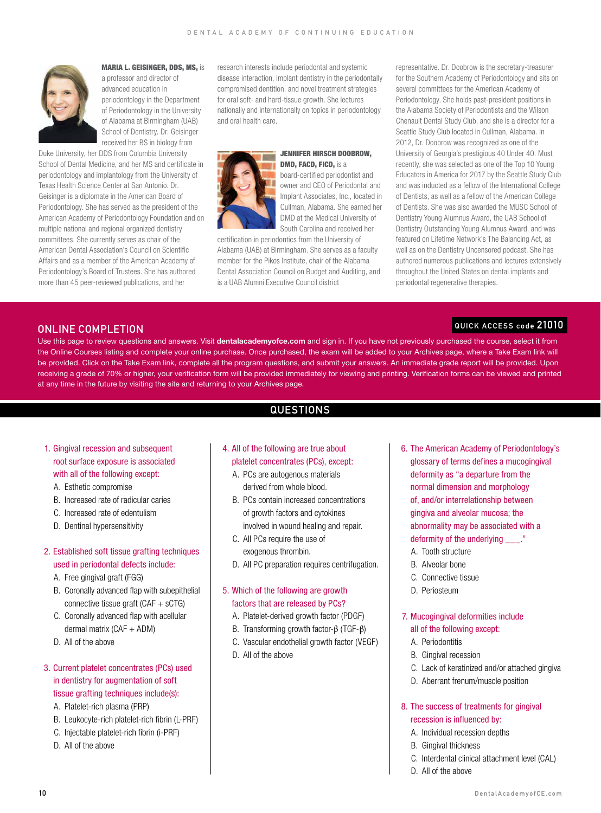

MARIA L. GEISINGER, DDS, MS, is

a professor and director of advanced education in periodontology in the Department of Periodontology in the University of Alabama at Birmingham (UAB) School of Dentistry. Dr. Geisinger received her BS in biology from

Duke University, her DDS from Columbia University School of Dental Medicine, and her MS and certificate in periodontology and implantology from the University of Texas Health Science Center at San Antonio. Dr. Geisinger is a diplomate in the American Board of Periodontology. She has served as the president of the American Academy of Periodontology Foundation and on multiple national and regional organized dentistry committees. She currently serves as chair of the American Dental Association's Council on Scientific Affairs and as a member of the American Academy of Periodontology's Board of Trustees. She has authored more than 45 peer-reviewed publications, and her

research interests include periodontal and systemic disease interaction, implant dentistry in the periodontally compromised dentition, and novel treatment strategies for oral soft- and hard-tissue growth. She lectures nationally and internationally on topics in periodontology and oral health care.



JENNIFER HIRSCH DOOBROW, DMD, FACD, FICD, is a

board-certified periodontist and owner and CEO of Periodontal and Implant Associates, Inc., located in Cullman, Alabama. She earned her DMD at the Medical University of South Carolina and received her

certification in periodontics from the University of Alabama (UAB) at Birmingham. She serves as a faculty member for the Pikos Institute, chair of the Alabama Dental Association Council on Budget and Auditing, and is a UAB Alumni Executive Council district

representative. Dr. Doobrow is the secretary-treasurer for the Southern Academy of Periodontology and sits on several committees for the American Academy of Periodontology. She holds past-president positions in the Alabama Society of Periodontists and the Wilson Chenault Dental Study Club, and she is a director for a Seattle Study Club located in Cullman, Alabama. In 2012, Dr. Doobrow was recognized as one of the University of Georgia's prestigious 40 Under 40. Most recently, she was selected as one of the Top 10 Young Educators in America for 2017 by the Seattle Study Club and was inducted as a fellow of the International College of Dentists, as well as a fellow of the American College of Dentists. She was also awarded the MUSC School of Dentistry Young Alumnus Award, the UAB School of Dentistry Outstanding Young Alumnus Award, and was featured on Lifetime Network's The Balancing Act, as well as on the Dentistry Uncensored podcast. She has authored numerous publications and lectures extensively throughout the United States on dental implants and periodontal regenerative therapies.

#### QUICK ACCESS code 21010

#### ONLINE COMPLETION

Use this page to review questions and answers. Visit dentalacademyofce.com and sign in. If you have not previously purchased the course, select it from the Online Courses listing and complete your online purchase. Once purchased, the exam will be added to your Archives page, where a Take Exam link will be provided. Click on the Take Exam link, complete all the program questions, and submit your answers. An immediate grade report will be provided. Upon receiving a grade of 70% or higher, your verification form will be provided immediately for viewing and printing. Verification forms can be viewed and printed at any time in the future by visiting the site and returning to your Archives page.

# **QUESTIONS**

## 1. Gingival recession and subsequent root surface exposure is associated with all of the following except:

- A. Esthetic compromise
- B. Increased rate of radicular caries
- C. Increased rate of edentulism
- D. Dentinal hypersensitivity

#### 2. Established soft tissue grafting techniques used in periodontal defects include:

- A. Free gingival graft (FGG)
- B. Coronally advanced flap with subepithelial connective tissue graft ( $CAF + sCTG$ )
- C. Coronally advanced flap with acellular dermal matrix (CAF + ADM)
- D. All of the above

#### 3. Current platelet concentrates (PCs) used in dentistry for augmentation of soft tissue grafting techniques include(s):

- A. Platelet-rich plasma (PRP)
- B. Leukocyte-rich platelet-rich fibrin (L-PRF)
- C. Injectable platelet-rich fibrin (i-PRF)
- D. All of the above

## 4. All of the following are true about platelet concentrates (PCs), except:

- A. PCs are autogenous materials derived from whole blood.
- B. PCs contain increased concentrations of growth factors and cytokines involved in wound healing and repair.
- C. All PCs require the use of exogenous thrombin.
- D. All PC preparation requires centrifugation.

#### 5. Which of the following are growth factors that are released by PCs?

- A. Platelet-derived growth factor (PDGF)
- B. Transforming growth factor-β (TGF-β)
- C. Vascular endothelial growth factor (VEGF)
- D. All of the above
- 6. The American Academy of Periodontology's glossary of terms defines a mucogingival deformity as "a departure from the normal dimension and morphology of, and/or interrelationship between gingiva and alveolar mucosa; the abnormality may be associated with a deformity of the underlying \_\_\_."
	- A. Tooth structure
	- B. Alveolar bone
	- C. Connective tissue
	- D. Periosteum

#### 7. Mucogingival deformities include all of the following except:

- A. Periodontitis
- B. Gingival recession
- C. Lack of keratinized and/or attached gingiva
- D. Aberrant frenum/muscle position

#### 8. The success of treatments for gingival recession is influenced by:

- A. Individual recession depths
- B. Gingival thickness
	- C. Interdental clinical attachment level (CAL)
- D. All of the above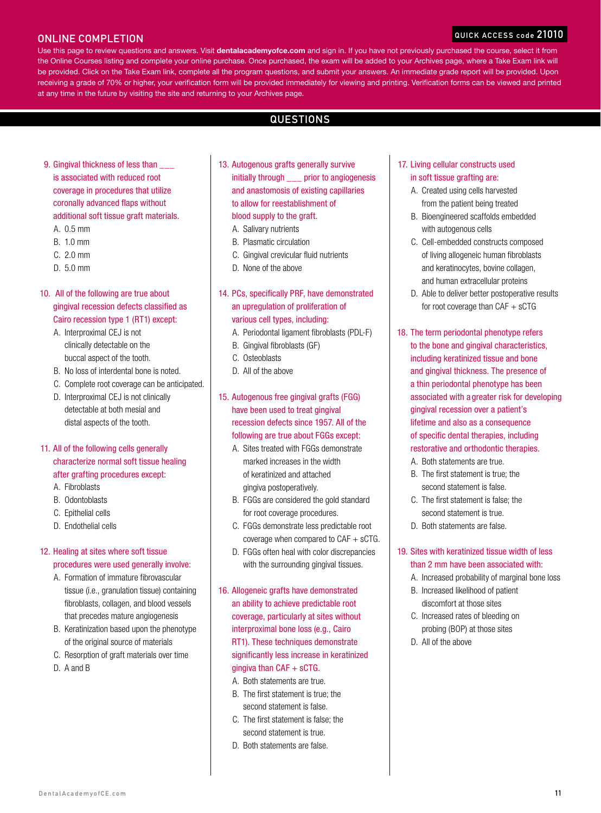## ONLINE COMPLETION

#### QUICK ACCESS co

Use this page to review questions and answers. Visit dentalacademyofce.com and sign in. If you have not previously purchased the course, select it from the Online Courses listing and complete your online purchase. Once purchased, the exam will be added to your Archives page, where a Take Exam link will be provided. Click on the Take Exam link, complete all the program questions, and submit your answers. An immediate grade report will be provided. Upon receiving a grade of 70% or higher, your verification form will be provided immediately for viewing and printing. Verification forms can be viewed and printed at any time in the future by visiting the site and returning to your Archives page.

# **QUESTIONS**

- 9. Gingival thickness of less than is associated with reduced root coverage in procedures that utilize coronally advanced flaps without additional soft tissue graft materials.
	- A. 0.5 mm
	- B. 1.0 mm
	- C. 2.0 mm
	- D. 5.0 mm

#### 10. All of the following are true about gingival recession defects classified as Cairo recession type 1 (RT1) except:

- A. Interproximal CEJ is not clinically detectable on the buccal aspect of the tooth.
- B. No loss of interdental bone is noted.
- C. Complete root coverage can be anticipated.
- D. Interproximal CEJ is not clinically detectable at both mesial and distal aspects of the tooth.

# 11. All of the following cells generally characterize normal soft tissue healing after grafting procedures except:

- A. Fibroblasts
- B. Odontoblasts
- C. Epithelial cells
- D. Endothelial cells

#### 12. Healing at sites where soft tissue procedures were used generally involve:

- A. Formation of immature fibrovascular tissue (i.e., granulation tissue) containing fibroblasts, collagen, and blood vessels that precedes mature angiogenesis
- B. Keratinization based upon the phenotype of the original source of materials
- C. Resorption of graft materials over time
- D. A and B
- 13. Autogenous grafts generally survive initially through \_\_\_ prior to angiogenesis and anastomosis of existing capillaries to allow for reestablishment of blood supply to the graft.
	- A. Salivary nutrients
	- B. Plasmatic circulation
	- C. Gingival crevicular fluid nutrients
	- D. None of the above
- 14. PCs, specifically PRF, have demonstrated an upregulation of proliferation of various cell types, including:
	- A. Periodontal ligament fibroblasts (PDL-F)
	- B. Gingival fibroblasts (GF)
	- C. Osteoblasts
	- D. All of the above
- 15. Autogenous free gingival grafts (FGG) have been used to treat gingival recession defects since 1957. All of the following are true about FGGs except:
	- A. Sites treated with FGGs demonstrate marked increases in the width of keratinized and attached gingiva postoperatively.
	- B. FGGs are considered the gold standard for root coverage procedures.
	- C. FGGs demonstrate less predictable root coverage when compared to CAF + sCTG.
	- D. FGGs often heal with color discrepancies with the surrounding gingival tissues.
- 16. Allogeneic grafts have demonstrated an ability to achieve predictable root coverage, particularly at sites without interproximal bone loss (e.g., Cairo RT1). These techniques demonstrate significantly less increase in keratinized gingiva than  $CAF + SCTG$ .
	- A. Both statements are true.
	- B. The first statement is true; the second statement is false.
	- C. The first statement is false; the second statement is true.
	- D. Both statements are false.

#### 17. Living cellular constructs used in soft tissue grafting are:

- A. Created using cells harvested from the patient being treated
- B. Bioengineered scaffolds embedded with autogenous cells
- C. Cell-embedded constructs composed of living allogeneic human fibroblasts and keratinocytes, bovine collagen, and human extracellular proteins
- D. Able to deliver better postoperative results for root coverage than  $CAF + sCTG$
- 18. The term periodontal phenotype refers
	- to the bone and gingival characteristics, including keratinized tissue and bone and gingival thickness. The presence of a thin periodontal phenotype has been associated with a greater risk for developing gingival recession over a patient's lifetime and also as a consequence of specific dental therapies, including restorative and orthodontic therapies.
		- A. Both statements are true.
		- B. The first statement is true; the second statement is false.
	- C. The first statement is false; the second statement is true.
	- D. Both statements are false.

#### 19. Sites with keratinized tissue width of less than 2 mm have been associated with:

- A. Increased probability of marginal bone loss
- B. Increased likelihood of patient discomfort at those sites
- C. Increased rates of bleeding on probing (BOP) at those sites
- D. All of the above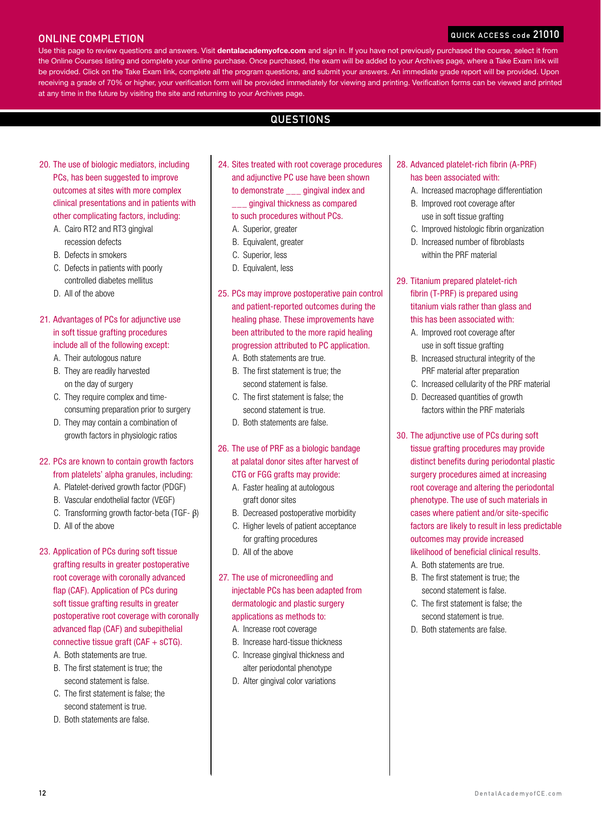#### **QUICK ACCESS**

#### ONLINE COMPLETION

Use this page to review questions and answers. Visit dentalacademyofce.com and sign in. If you have not previously purchased the course, select it from the Online Courses listing and complete your online purchase. Once purchased, the exam will be added to your Archives page, where a Take Exam link will be provided. Click on the Take Exam link, complete all the program questions, and submit your answers. An immediate grade report will be provided. Upon receiving a grade of 70% or higher, your verification form will be provided immediately for viewing and printing. Verification forms can be viewed and printed at any time in the future by visiting the site and returning to your Archives page.

# **QUESTIONS**

- 20. The use of biologic mediators, including PCs, has been suggested to improve outcomes at sites with more complex clinical presentations and in patients with other complicating factors, including:
	- A. Cairo RT2 and RT3 gingival recession defects
	- B. Defects in smokers
	- C. Defects in patients with poorly controlled diabetes mellitus
	- D. All of the above

#### 21. Advantages of PCs for adjunctive use in soft tissue grafting procedures include all of the following except:

- A. Their autologous nature
- B. They are readily harvested on the day of surgery
- C. They require complex and timeconsuming preparation prior to surgery
- D. They may contain a combination of growth factors in physiologic ratios

## 22. PCs are known to contain growth factors from platelets' alpha granules, including:

- A. Platelet-derived growth factor (PDGF)
- B. Vascular endothelial factor (VEGF)
- C. Transforming growth factor-beta (TGF- β)
- D. All of the above

#### 23. Application of PCs during soft tissue grafting results in greater postoperative root coverage with coronally advanced flap (CAF). Application of PCs during soft tissue grafting results in greater postoperative root coverage with coronally advanced flap (CAF) and subepithelial connective tissue graft (CAF + sCTG).

- A. Both statements are true.
- B. The first statement is true; the second statement is false.
- C. The first statement is false; the second statement is true.
- D. Both statements are false.
- 24. Sites treated with root coverage procedures and adjunctive PC use have been shown to demonstrate \_\_\_ gingival index and \_\_\_ gingival thickness as compared to such procedures without PCs.
	- A. Superior, greater
	- B. Equivalent, greater
	- C. Superior, less
	- D. Equivalent, less
- 25. PCs may improve postoperative pain control and patient-reported outcomes during the healing phase. These improvements have been attributed to the more rapid healing progression attributed to PC application.
	- A. Both statements are true.
	- B. The first statement is true; the second statement is false.
	- C. The first statement is false; the second statement is true.
	- D. Both statements are false.

#### 26. The use of PRF as a biologic bandage at palatal donor sites after harvest of CTG or FGG grafts may provide:

- A. Faster healing at autologous graft donor sites
- B. Decreased postoperative morbidity
- C. Higher levels of patient acceptance
	- for grafting procedures
- D. All of the above

#### 27. The use of microneedling and injectable PCs has been adapted from dermatologic and plastic surgery applications as methods to:

- A. Increase root coverage
- B. Increase hard-tissue thickness
- C. Increase gingival thickness and alter periodontal phenotype
- D. Alter gingival color variations
- 28. Advanced platelet-rich fibrin (A-PRF) has been associated with:
	- A. Increased macrophage differentiation
	- B. Improved root coverage after use in soft tissue grafting
	- C. Improved histologic fibrin organization
	- D. Increased number of fibroblasts within the PRF material
- 29. Titanium prepared platelet-rich fibrin (T-PRF) is prepared using titanium vials rather than glass and this has been associated with:
	- A. Improved root coverage after use in soft tissue grafting
	- B. Increased structural integrity of the PRF material after preparation
	- C. Increased cellularity of the PRF material
	- D. Decreased quantities of growth factors within the PRF materials
- 30. The adjunctive use of PCs during soft tissue grafting procedures may provide distinct benefits during periodontal plastic surgery procedures aimed at increasing root coverage and altering the periodontal phenotype. The use of such materials in cases where patient and/or site-specific factors are likely to result in less predictable outcomes may provide increased likelihood of beneficial clinical results.
	- A. Both statements are true.
	- B. The first statement is true; the second statement is false.
	- C. The first statement is false; the second statement is true.
	- D. Both statements are false.